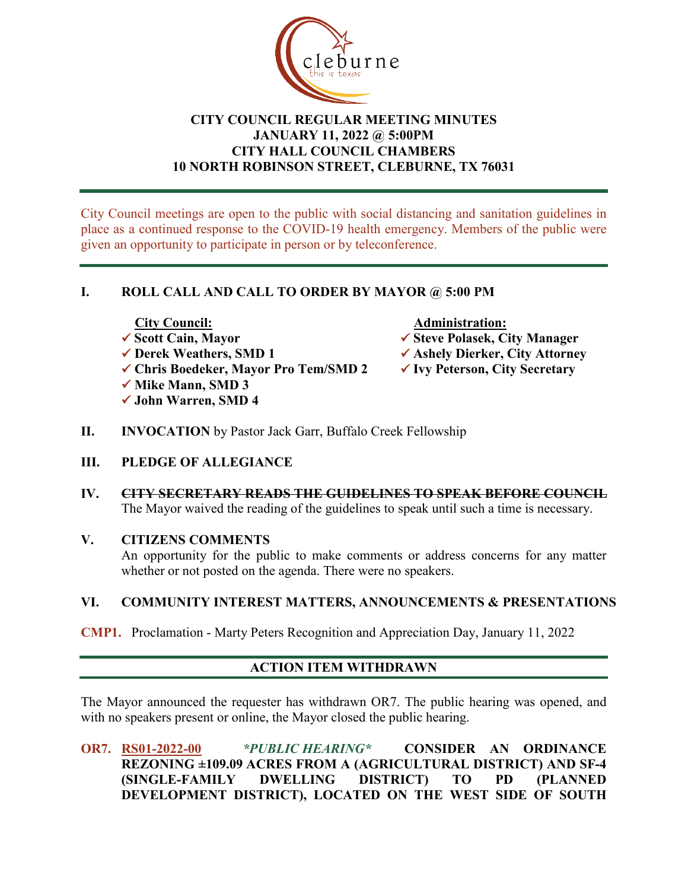

# **CITY COUNCIL REGULAR MEETING MINUTES JANUARY 11, 2022 @ 5:00PM CITY HALL COUNCIL CHAMBERS 10 NORTH ROBINSON STREET, CLEBURNE, TX 76031**

City Council meetings are open to the public with social distancing and sanitation guidelines in place as a continued response to the COVID-19 health emergency. Members of the public were given an opportunity to participate in person or by teleconference.

# **I. ROLL CALL AND CALL TO ORDER BY MAYOR @ 5:00 PM**

- City Council: ★ Administration:<br>★ Scott Cain, Mayor ★ Administration:
- 
- **Chris Boedeker, Mayor Pro Tem/SMD 2 Ivy Peterson, City Secretary**
- **√ Mike Mann, SMD 3**
- **John Warren, SMD 4**

- **V** Scott Cain, Mayor<br>
★ Steve Polasek, City Manager<br>
★ Ashely Dierker, City Attorne
	- **✓ Ashely Dierker, City Attorney**
	-
- **II. INVOCATION** by Pastor Jack Garr, Buffalo Creek Fellowship
- **III. PLEDGE OF ALLEGIANCE**
- **IV. CITY SECRETARY READS THE GUIDELINES TO SPEAK BEFORE COUNCIL** The Mayor waived the reading of the guidelines to speak until such a time is necessary.

# **V. CITIZENS COMMENTS**

An opportunity for the public to make comments or address concerns for any matter whether or not posted on the agenda. There were no speakers.

# **VI. COMMUNITY INTEREST MATTERS, ANNOUNCEMENTS & PRESENTATIONS**

**CMP1.** Proclamation - Marty Peters Recognition and Appreciation Day, January 11, 2022

# **ACTION ITEM WITHDRAWN**

The Mayor announced the requester has withdrawn OR7. The public hearing was opened, and with no speakers present or online, the Mayor closed the public hearing.

**OR7. RS01-2022-00** *\*PUBLIC HEARING\** **CONSIDER AN ORDINANCE REZONING ±109.09 ACRES FROM A (AGRICULTURAL DISTRICT) AND SF-4 (SINGLE-FAMILY DWELLING DISTRICT) TO PD (PLANNED DEVELOPMENT DISTRICT), LOCATED ON THE WEST SIDE OF SOUTH**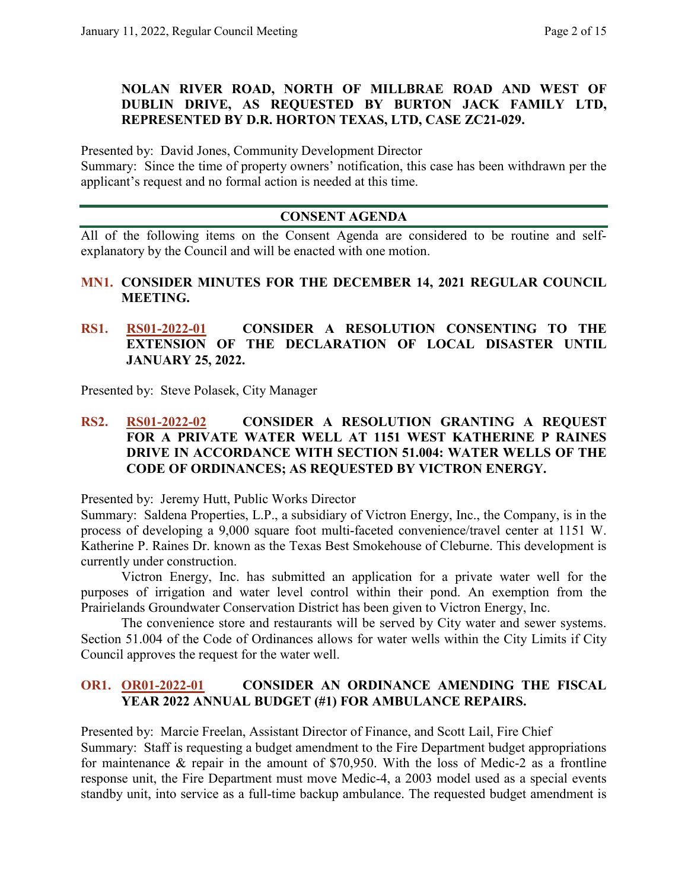# **NOLAN RIVER ROAD, NORTH OF MILLBRAE ROAD AND WEST OF DUBLIN DRIVE, AS REQUESTED BY BURTON JACK FAMILY LTD, REPRESENTED BY D.R. HORTON TEXAS, LTD, CASE ZC21-029.**

Presented by: David Jones, Community Development Director

Summary: Since the time of property owners' notification, this case has been withdrawn per the applicant's request and no formal action is needed at this time.

# **CONSENT AGENDA**

All of the following items on the Consent Agenda are considered to be routine and selfexplanatory by the Council and will be enacted with one motion.

## **MN1. CONSIDER MINUTES FOR THE DECEMBER 14, 2021 REGULAR COUNCIL MEETING.**

**RS1. RS01-2022-01 CONSIDER A RESOLUTION CONSENTING TO THE EXTENSION OF THE DECLARATION OF LOCAL DISASTER UNTIL JANUARY 25, 2022.**

Presented by: Steve Polasek, City Manager

# **RS2. RS01-2022-02 CONSIDER A RESOLUTION GRANTING A REQUEST FOR A PRIVATE WATER WELL AT 1151 WEST KATHERINE P RAINES DRIVE IN ACCORDANCE WITH SECTION 51.004: WATER WELLS OF THE CODE OF ORDINANCES; AS REQUESTED BY VICTRON ENERGY.**

Presented by: Jeremy Hutt, Public Works Director

Summary: Saldena Properties, L.P., a subsidiary of Victron Energy, Inc., the Company, is in the process of developing a 9,000 square foot multi-faceted convenience/travel center at 1151 W. Katherine P. Raines Dr. known as the Texas Best Smokehouse of Cleburne. This development is currently under construction.

Victron Energy, Inc. has submitted an application for a private water well for the purposes of irrigation and water level control within their pond. An exemption from the Prairielands Groundwater Conservation District has been given to Victron Energy, Inc.

The convenience store and restaurants will be served by City water and sewer systems. Section 51.004 of the Code of Ordinances allows for water wells within the City Limits if City Council approves the request for the water well.

#### **OR1. OR01-2022-01 CONSIDER AN ORDINANCE AMENDING THE FISCAL YEAR 2022 ANNUAL BUDGET (#1) FOR AMBULANCE REPAIRS.**

Presented by: Marcie Freelan, Assistant Director of Finance, and Scott Lail, Fire Chief Summary: Staff is requesting a budget amendment to the Fire Department budget appropriations for maintenance & repair in the amount of \$70,950. With the loss of Medic-2 as a frontline response unit, the Fire Department must move Medic-4, a 2003 model used as a special events standby unit, into service as a full-time backup ambulance. The requested budget amendment is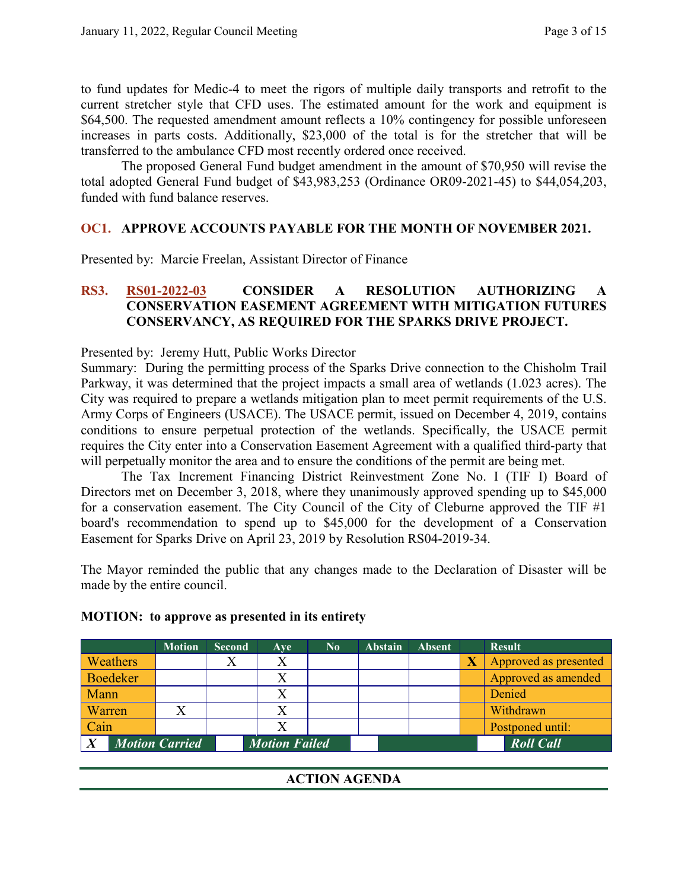to fund updates for Medic-4 to meet the rigors of multiple daily transports and retrofit to the current stretcher style that CFD uses. The estimated amount for the work and equipment is \$64,500. The requested amendment amount reflects a 10% contingency for possible unforeseen increases in parts costs. Additionally, \$23,000 of the total is for the stretcher that will be transferred to the ambulance CFD most recently ordered once received.

The proposed General Fund budget amendment in the amount of \$70,950 will revise the total adopted General Fund budget of \$43,983,253 (Ordinance OR09-2021-45) to \$44,054,203, funded with fund balance reserves.

#### **OC1. APPROVE ACCOUNTS PAYABLE FOR THE MONTH OF NOVEMBER 2021.**

Presented by: Marcie Freelan, Assistant Director of Finance

# **RS3. RS01-2022-03 CONSIDER A RESOLUTION AUTHORIZING A CONSERVATION EASEMENT AGREEMENT WITH MITIGATION FUTURES CONSERVANCY, AS REQUIRED FOR THE SPARKS DRIVE PROJECT.**

Presented by: Jeremy Hutt, Public Works Director

Summary: During the permitting process of the Sparks Drive connection to the Chisholm Trail Parkway, it was determined that the project impacts a small area of wetlands (1.023 acres). The City was required to prepare a wetlands mitigation plan to meet permit requirements of the U.S. Army Corps of Engineers (USACE). The USACE permit, issued on December 4, 2019, contains conditions to ensure perpetual protection of the wetlands. Specifically, the USACE permit requires the City enter into a Conservation Easement Agreement with a qualified third-party that will perpetually monitor the area and to ensure the conditions of the permit are being met.

The Tax Increment Financing District Reinvestment Zone No. I (TIF I) Board of Directors met on December 3, 2018, where they unanimously approved spending up to \$45,000 for a conservation easement. The City Council of the City of Cleburne approved the TIF #1 board's recommendation to spend up to \$45,000 for the development of a Conservation Easement for Sparks Drive on April 23, 2019 by Resolution RS04-2019-34.

The Mayor reminded the public that any changes made to the Declaration of Disaster will be made by the entire council.

|                 | <b>Motion</b>         | <b>Second</b> | Ave                  | $\mathbf{N_0}$ | <b>Abstain</b> | <b>Absent</b> | <b>Result</b>         |
|-----------------|-----------------------|---------------|----------------------|----------------|----------------|---------------|-----------------------|
| Weathers        |                       |               | Х                    |                |                |               | Approved as presented |
| <b>Boedeker</b> |                       |               | X                    |                |                |               | Approved as amended   |
| Mann            |                       |               |                      |                |                |               | Denied                |
| Warren          |                       |               | X                    |                |                |               | Withdrawn             |
| Cain            |                       |               | X                    |                |                |               | Postponed until:      |
|                 | <b>Motion Carried</b> |               | <b>Motion Failed</b> |                |                |               | <b>Roll Call</b>      |
|                 |                       |               |                      |                |                |               |                       |

#### **MOTION: to approve as presented in its entirety**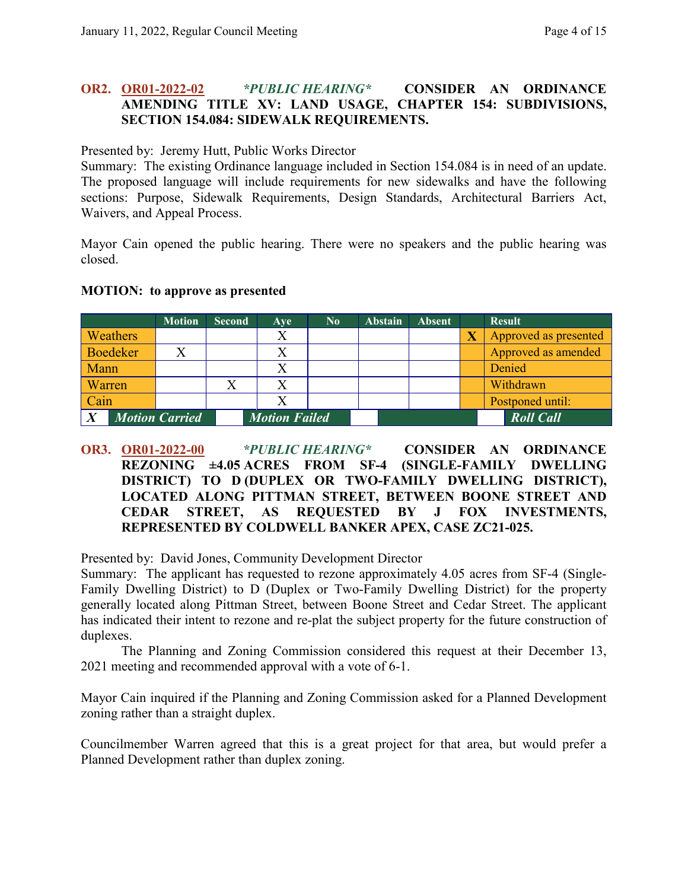# **OR2. OR01-2022-02** *\*PUBLIC HEARING\** **CONSIDER AN ORDINANCE AMENDING TITLE XV: LAND USAGE, CHAPTER 154: SUBDIVISIONS, SECTION 154.084: SIDEWALK REQUIREMENTS.**

Presented by: Jeremy Hutt, Public Works Director

Summary: The existing Ordinance language included in Section 154.084 is in need of an update. The proposed language will include requirements for new sidewalks and have the following sections: Purpose, Sidewalk Requirements, Design Standards, Architectural Barriers Act, Waivers, and Appeal Process.

Mayor Cain opened the public hearing. There were no speakers and the public hearing was closed.

|                |                 | <b>Motion</b>         | <b>Second</b> | <b>Ave</b>           | $\bf No$ | <b>Abstain</b> | <b>Absent</b> |                         | <b>Result</b>         |
|----------------|-----------------|-----------------------|---------------|----------------------|----------|----------------|---------------|-------------------------|-----------------------|
|                | <b>Weathers</b> |                       |               | Χ                    |          |                |               | $\overline{\textbf{X}}$ | Approved as presented |
|                | Boedeker        |                       |               |                      |          |                |               |                         | Approved as amended   |
| <b>Mann</b>    |                 |                       |               |                      |          |                |               |                         | Denied                |
| <b>Warren</b>  |                 |                       |               |                      |          |                |               |                         | Withdrawn             |
| $\vert$ Cain   |                 |                       |               |                      |          |                |               |                         | Postponed until:      |
| $\overline{X}$ |                 | <b>Motion Carried</b> |               | <b>Motion Failed</b> |          |                |               |                         | <b>Roll Call</b>      |

#### **MOTION: to approve as presented**

**OR3. OR01-2022-00** *\*PUBLIC HEARING\** **CONSIDER AN ORDINANCE REZONING ±4.05 ACRES FROM SF-4 (SINGLE-FAMILY DWELLING DISTRICT) TO D (DUPLEX OR TWO-FAMILY DWELLING DISTRICT), LOCATED ALONG PITTMAN STREET, BETWEEN BOONE STREET AND CEDAR STREET, AS REQUESTED BY J FOX INVESTMENTS, REPRESENTED BY COLDWELL BANKER APEX, CASE ZC21-025.**

Presented by: David Jones, Community Development Director

Summary: The applicant has requested to rezone approximately 4.05 acres from SF-4 (Single-Family Dwelling District) to D (Duplex or Two-Family Dwelling District) for the property generally located along Pittman Street, between Boone Street and Cedar Street. The applicant has indicated their intent to rezone and re-plat the subject property for the future construction of duplexes.

The Planning and Zoning Commission considered this request at their December 13, 2021 meeting and recommended approval with a vote of 6-1.

Mayor Cain inquired if the Planning and Zoning Commission asked for a Planned Development zoning rather than a straight duplex.

Councilmember Warren agreed that this is a great project for that area, but would prefer a Planned Development rather than duplex zoning.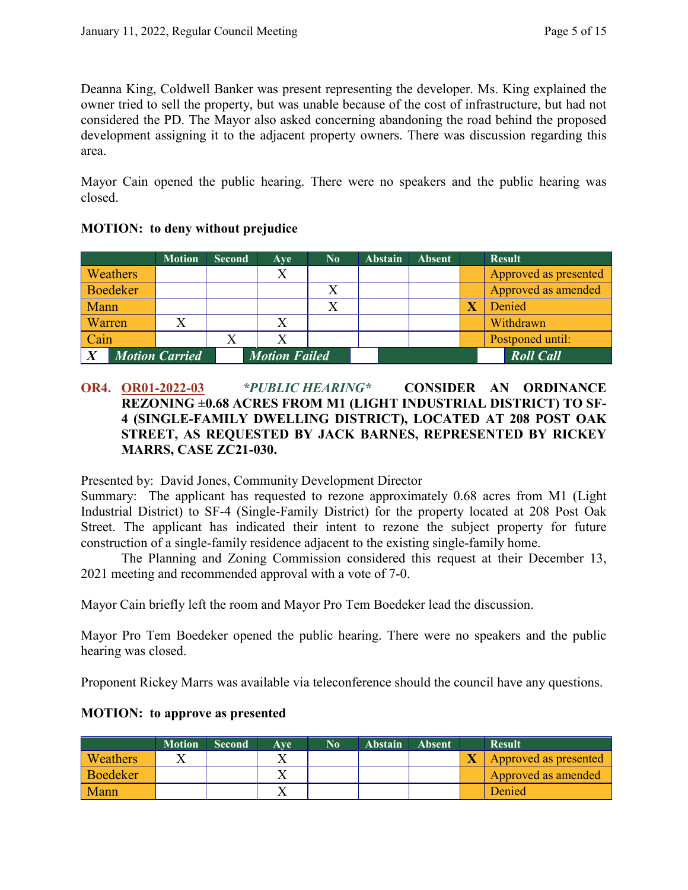Deanna King, Coldwell Banker was present representing the developer. Ms. King explained the owner tried to sell the property, but was unable because of the cost of infrastructure, but had not considered the PD. The Mayor also asked concerning abandoning the road behind the proposed development assigning it to the adjacent property owners. There was discussion regarding this area.

Mayor Cain opened the public hearing. There were no speakers and the public hearing was closed.

|                  |                 | <b>Motion</b>         | <b>Second</b> | Ave                  | $\mathbf{N_0}$ | <b>Abstain</b> | <b>Absent</b> | <b>Result</b>         |
|------------------|-----------------|-----------------------|---------------|----------------------|----------------|----------------|---------------|-----------------------|
|                  | <b>Weathers</b> |                       |               | Χ                    |                |                |               | Approved as presented |
|                  | Boedeker        |                       |               |                      |                |                |               | Approved as amended   |
| <b>Mann</b>      |                 |                       |               |                      |                |                |               | Denied                |
| Warren/          |                 |                       |               |                      |                |                |               | Withdrawn             |
| Cain             |                 |                       |               |                      |                |                |               | Postponed until:      |
| $\boldsymbol{X}$ |                 | <b>Motion Carried</b> |               | <b>Motion Failed</b> |                |                |               | <b>Roll Call</b>      |

# **MOTION: to deny without prejudice**

# **OR4. OR01-2022-03** *\*PUBLIC HEARING\** **CONSIDER AN ORDINANCE REZONING ±0.68 ACRES FROM M1 (LIGHT INDUSTRIAL DISTRICT) TO SF-4 (SINGLE-FAMILY DWELLING DISTRICT), LOCATED AT 208 POST OAK STREET, AS REQUESTED BY JACK BARNES, REPRESENTED BY RICKEY MARRS, CASE ZC21-030.**

Presented by: David Jones, Community Development Director

Summary: The applicant has requested to rezone approximately 0.68 acres from M1 (Light Industrial District) to SF-4 (Single-Family District) for the property located at 208 Post Oak Street. The applicant has indicated their intent to rezone the subject property for future construction of a single-family residence adjacent to the existing single-family home.

The Planning and Zoning Commission considered this request at their December 13, 2021 meeting and recommended approval with a vote of 7-0.

Mayor Cain briefly left the room and Mayor Pro Tem Boedeker lead the discussion.

Mayor Pro Tem Boedeker opened the public hearing. There were no speakers and the public hearing was closed.

Proponent Rickey Marrs was available via teleconference should the council have any questions.

# **MOTION: to approve as presented**

|          | <b>Motion</b> | Second | Ave | N <sub>0</sub> | <b>Abstain</b> | <b>Absent</b> | <b>Result</b>         |
|----------|---------------|--------|-----|----------------|----------------|---------------|-----------------------|
| Weathers |               |        |     |                |                |               | Approved as presented |
| Boedeker |               |        |     |                |                |               | Approved as amended   |
| Mann     |               |        |     |                |                |               | Denied                |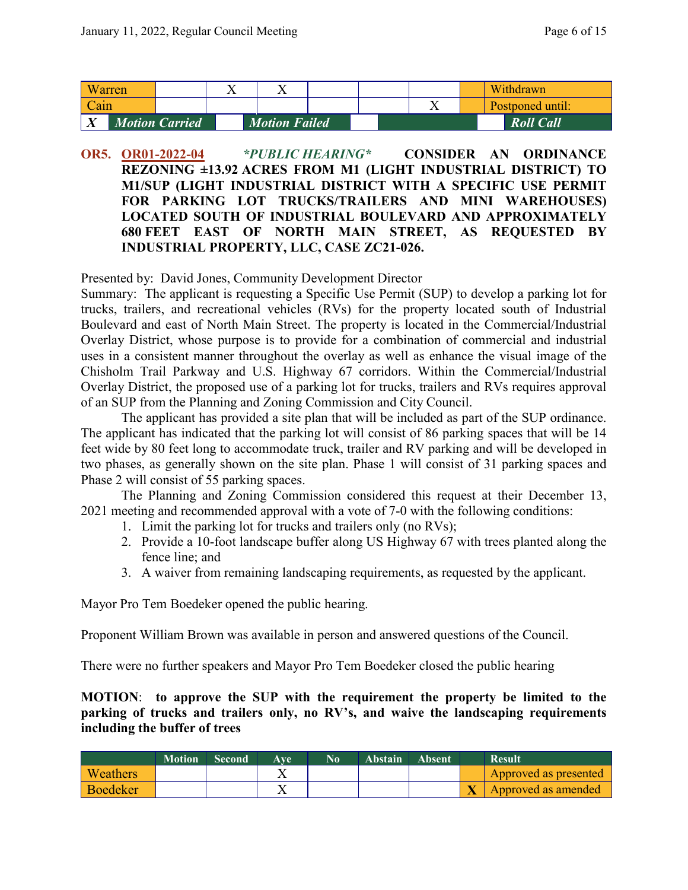|      | Warren |                       | ∡⊾                   |  |  |  | Withdrawn        |  |
|------|--------|-----------------------|----------------------|--|--|--|------------------|--|
| Cain |        |                       |                      |  |  |  | Postponed until: |  |
|      |        | <b>Motion Carried</b> | <b>Motion Failed</b> |  |  |  | <b>Roll Call</b> |  |

# **OR5. OR01-2022-04** *\*PUBLIC HEARING\** **CONSIDER AN ORDINANCE REZONING ±13.92 ACRES FROM M1 (LIGHT INDUSTRIAL DISTRICT) TO M1/SUP (LIGHT INDUSTRIAL DISTRICT WITH A SPECIFIC USE PERMIT FOR PARKING LOT TRUCKS/TRAILERS AND MINI WAREHOUSES) LOCATED SOUTH OF INDUSTRIAL BOULEVARD AND APPROXIMATELY 680 FEET EAST OF NORTH MAIN STREET, AS REQUESTED BY INDUSTRIAL PROPERTY, LLC, CASE ZC21-026.**

Presented by: David Jones, Community Development Director

Summary: The applicant is requesting a Specific Use Permit (SUP) to develop a parking lot for trucks, trailers, and recreational vehicles (RVs) for the property located south of Industrial Boulevard and east of North Main Street. The property is located in the Commercial/Industrial Overlay District, whose purpose is to provide for a combination of commercial and industrial uses in a consistent manner throughout the overlay as well as enhance the visual image of the Chisholm Trail Parkway and U.S. Highway 67 corridors. Within the Commercial/Industrial Overlay District, the proposed use of a parking lot for trucks, trailers and RVs requires approval of an SUP from the Planning and Zoning Commission and City Council.

The applicant has provided a site plan that will be included as part of the SUP ordinance. The applicant has indicated that the parking lot will consist of 86 parking spaces that will be 14 feet wide by 80 feet long to accommodate truck, trailer and RV parking and will be developed in two phases, as generally shown on the site plan. Phase 1 will consist of 31 parking spaces and Phase 2 will consist of 55 parking spaces.

The Planning and Zoning Commission considered this request at their December 13, 2021 meeting and recommended approval with a vote of 7-0 with the following conditions:

- 1. Limit the parking lot for trucks and trailers only (no RVs);
- 2. Provide a 10-foot landscape buffer along US Highway 67 with trees planted along the fence line; and
- 3. A waiver from remaining landscaping requirements, as requested by the applicant.

Mayor Pro Tem Boedeker opened the public hearing.

Proponent William Brown was available in person and answered questions of the Council.

There were no further speakers and Mayor Pro Tem Boedeker closed the public hearing

#### **MOTION**: **to approve the SUP with the requirement the property be limited to the parking of trucks and trailers only, no RV's, and waive the landscaping requirements including the buffer of trees**

|                 | <b>Motion</b> | <b>Second</b> | Ave | No <sup>1</sup> | Abstain | <b>Absent</b> | <b>Result</b>         |
|-----------------|---------------|---------------|-----|-----------------|---------|---------------|-----------------------|
| <b>Weathers</b> |               |               |     |                 |         |               | Approved as presented |
| <b>Boedeker</b> |               |               |     |                 |         |               | Approved as amended   |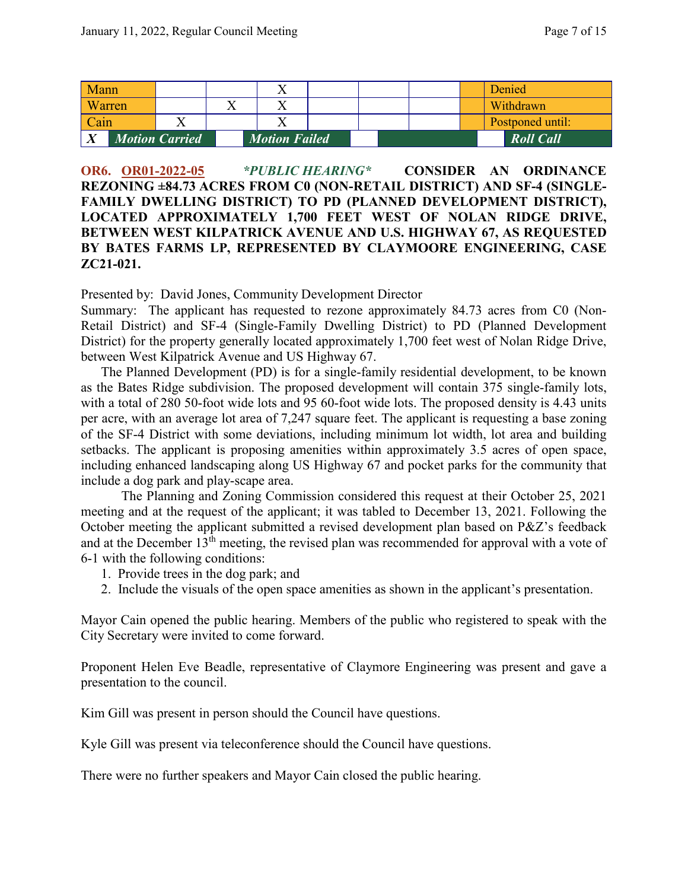| Mann         |        |                       | Λ                    |  |  | Denied           |
|--------------|--------|-----------------------|----------------------|--|--|------------------|
|              | Warren |                       |                      |  |  | Withdrawn        |
| Cain         |        |                       |                      |  |  | Postponed until: |
| $\mathbf{v}$ |        | <b>Motion Carried</b> | <b>Motion Failed</b> |  |  | <b>Roll Call</b> |

**OR6. OR01-2022-05** *\*PUBLIC HEARING\** **CONSIDER AN ORDINANCE REZONING ±84.73 ACRES FROM C0 (NON-RETAIL DISTRICT) AND SF-4 (SINGLE-FAMILY DWELLING DISTRICT) TO PD (PLANNED DEVELOPMENT DISTRICT), LOCATED APPROXIMATELY 1,700 FEET WEST OF NOLAN RIDGE DRIVE, BETWEEN WEST KILPATRICK AVENUE AND U.S. HIGHWAY 67, AS REQUESTED BY BATES FARMS LP, REPRESENTED BY CLAYMOORE ENGINEERING, CASE ZC21-021.**

Presented by: David Jones, Community Development Director

Summary: The applicant has requested to rezone approximately 84.73 acres from C0 (Non-Retail District) and SF-4 (Single-Family Dwelling District) to PD (Planned Development District) for the property generally located approximately 1,700 feet west of Nolan Ridge Drive, between West Kilpatrick Avenue and US Highway 67.

The Planned Development (PD) is for a single-family residential development, to be known as the Bates Ridge subdivision. The proposed development will contain 375 single-family lots, with a total of 280 50-foot wide lots and 95 60-foot wide lots. The proposed density is 4.43 units per acre, with an average lot area of 7,247 square feet. The applicant is requesting a base zoning of the SF-4 District with some deviations, including minimum lot width, lot area and building setbacks. The applicant is proposing amenities within approximately 3.5 acres of open space, including enhanced landscaping along US Highway 67 and pocket parks for the community that include a dog park and play-scape area.

The Planning and Zoning Commission considered this request at their October 25, 2021 meeting and at the request of the applicant; it was tabled to December 13, 2021. Following the October meeting the applicant submitted a revised development plan based on P&Z's feedback and at the December 13<sup>th</sup> meeting, the revised plan was recommended for approval with a vote of 6-1 with the following conditions:

- 1. Provide trees in the dog park; and
- 2. Include the visuals of the open space amenities as shown in the applicant's presentation.

Mayor Cain opened the public hearing. Members of the public who registered to speak with the City Secretary were invited to come forward.

Proponent Helen Eve Beadle, representative of Claymore Engineering was present and gave a presentation to the council.

Kim Gill was present in person should the Council have questions.

Kyle Gill was present via teleconference should the Council have questions.

There were no further speakers and Mayor Cain closed the public hearing.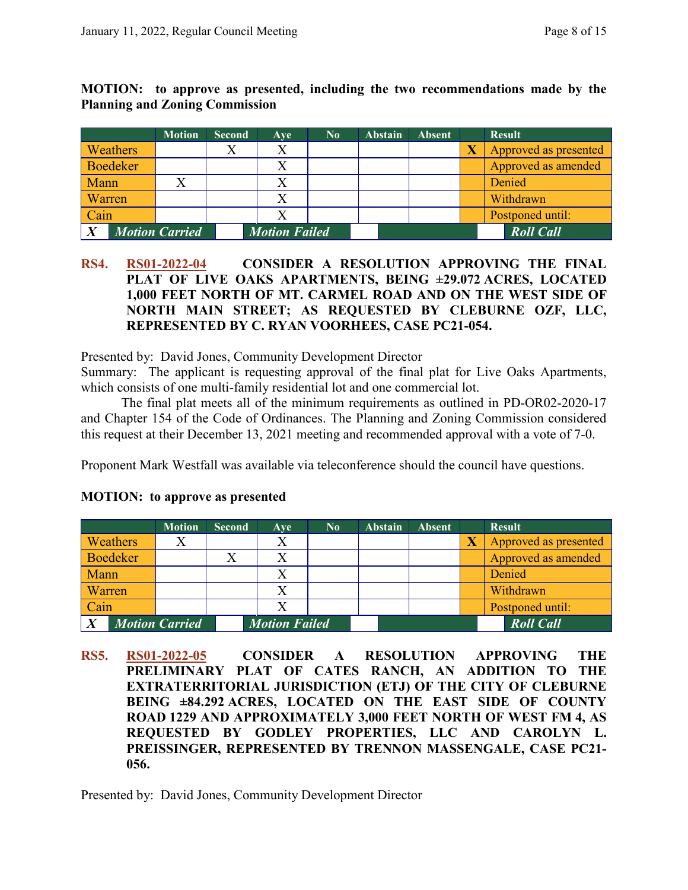|               |                 | <b>Motion</b>         | <b>Second</b> | Ave                  | $\bf No$ | <b>Abstain</b> | <b>Absent</b> | <b>Result</b>         |
|---------------|-----------------|-----------------------|---------------|----------------------|----------|----------------|---------------|-----------------------|
|               | <b>Weathers</b> |                       |               |                      |          |                |               | Approved as presented |
|               | Boedeker        |                       |               |                      |          |                |               | Approved as amended   |
| <b>Mann</b>   |                 |                       |               |                      |          |                |               | Denied                |
| <b>Warren</b> |                 |                       |               |                      |          |                |               | Withdrawn             |
| Cain          |                 |                       |               |                      |          |                |               | Postponed until:      |
|               |                 | <b>Motion Carried</b> |               | <b>Motion Failed</b> |          |                |               | <b>Roll Call</b>      |

**MOTION: to approve as presented, including the two recommendations made by the Planning and Zoning Commission**

#### **RS4. RS01-2022-04 CONSIDER A RESOLUTION APPROVING THE FINAL PLAT OF LIVE OAKS APARTMENTS, BEING ±29.072 ACRES, LOCATED 1,000 FEET NORTH OF MT. CARMEL ROAD AND ON THE WEST SIDE OF NORTH MAIN STREET; AS REQUESTED BY CLEBURNE OZF, LLC, REPRESENTED BY C. RYAN VOORHEES, CASE PC21-054.**

Presented by: David Jones, Community Development Director

Summary: The applicant is requesting approval of the final plat for Live Oaks Apartments, which consists of one multi-family residential lot and one commercial lot.

The final plat meets all of the minimum requirements as outlined in PD-OR02-2020-17 and Chapter 154 of the Code of Ordinances. The Planning and Zoning Commission considered this request at their December 13, 2021 meeting and recommended approval with a vote of 7-0.

Proponent Mark Westfall was available via teleconference should the council have questions.

|                       |                 | <b>Motion</b> | <b>Second</b> | Ave                  | $\bf No$ | <b>Abstain</b> | <b>Absent</b> |                         | <b>Result</b>         |
|-----------------------|-----------------|---------------|---------------|----------------------|----------|----------------|---------------|-------------------------|-----------------------|
|                       | <b>Weathers</b> |               |               |                      |          |                |               | $\overline{\textbf{X}}$ | Approved as presented |
|                       | <b>Boedeker</b> |               |               |                      |          |                |               |                         | Approved as amended   |
| Mann                  |                 |               |               |                      |          |                |               |                         | Denied                |
| Warren                |                 |               |               |                      |          |                |               |                         | Withdrawn             |
| Cain                  |                 |               |               |                      |          |                |               |                         | Postponed until:      |
| <b>Motion Carried</b> |                 |               |               | <b>Motion Failed</b> |          |                |               |                         | <b>Roll Call</b>      |

#### **MOTION: to approve as presented**

**RS5. RS01-2022-05 CONSIDER A RESOLUTION APPROVING THE PRELIMINARY PLAT OF CATES RANCH, AN ADDITION TO THE EXTRATERRITORIAL JURISDICTION (ETJ) OF THE CITY OF CLEBURNE BEING ±84.292 ACRES, LOCATED ON THE EAST SIDE OF COUNTY ROAD 1229 AND APPROXIMATELY 3,000 FEET NORTH OF WEST FM 4, AS REQUESTED BY GODLEY PROPERTIES, LLC AND CAROLYN L. PREISSINGER, REPRESENTED BY TRENNON MASSENGALE, CASE PC21- 056.**

Presented by: David Jones, Community Development Director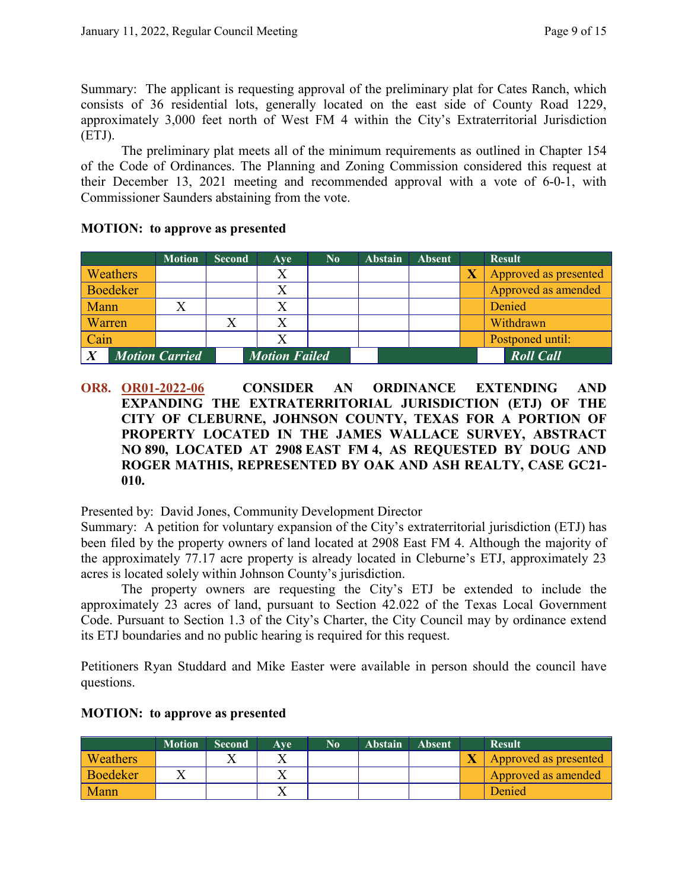Summary: The applicant is requesting approval of the preliminary plat for Cates Ranch, which consists of 36 residential lots, generally located on the east side of County Road 1229, approximately 3,000 feet north of West FM 4 within the City's Extraterritorial Jurisdiction (ETJ).

The preliminary plat meets all of the minimum requirements as outlined in Chapter 154 of the Code of Ordinances. The Planning and Zoning Commission considered this request at their December 13, 2021 meeting and recommended approval with a vote of 6-0-1, with Commissioner Saunders abstaining from the vote.

|          | <b>Motion</b>         | <b>Second</b> | Ave                  | N <sub>0</sub> | <b>Abstain</b> | <b>Absent</b> |                       | <b>Result</b>         |
|----------|-----------------------|---------------|----------------------|----------------|----------------|---------------|-----------------------|-----------------------|
| Weathers |                       |               | X                    |                |                |               | $\overline{\text{X}}$ | Approved as presented |
| Boedeker |                       |               |                      |                |                |               |                       | Approved as amended   |
| Mann     |                       |               |                      |                |                |               |                       | Denied                |
| Warren   |                       |               |                      |                |                |               |                       | Withdrawn             |
| Cain     |                       |               |                      |                |                |               |                       | Postponed until:      |
|          | <b>Motion Carried</b> |               | <b>Motion Failed</b> |                |                |               |                       | <b>Roll Call</b>      |

#### **MOTION: to approve as presented**

**OR8. OR01-2022-06 CONSIDER AN ORDINANCE EXTENDING AND EXPANDING THE EXTRATERRITORIAL JURISDICTION (ETJ) OF THE CITY OF CLEBURNE, JOHNSON COUNTY, TEXAS FOR A PORTION OF PROPERTY LOCATED IN THE JAMES WALLACE SURVEY, ABSTRACT NO 890, LOCATED AT 2908 EAST FM 4, AS REQUESTED BY DOUG AND ROGER MATHIS, REPRESENTED BY OAK AND ASH REALTY, CASE GC21- 010.**

Presented by: David Jones, Community Development Director

Summary: A petition for voluntary expansion of the City's extraterritorial jurisdiction (ETJ) has been filed by the property owners of land located at 2908 East FM 4. Although the majority of the approximately 77.17 acre property is already located in Cleburne's ETJ, approximately 23 acres is located solely within Johnson County's jurisdiction.

The property owners are requesting the City's ETJ be extended to include the approximately 23 acres of land, pursuant to Section 42.022 of the Texas Local Government Code. Pursuant to Section 1.3 of the City's Charter, the City Council may by ordinance extend its ETJ boundaries and no public hearing is required for this request.

Petitioners Ryan Studdard and Mike Easter were available in person should the council have questions.

|                 | <b>Motion</b> | <b>Second</b> | Ave | No | <b>Abstain</b> | Absent | <b>Result</b>         |
|-----------------|---------------|---------------|-----|----|----------------|--------|-----------------------|
| <b>Weathers</b> |               |               |     |    |                |        | Approved as presented |
| <b>Boedeker</b> |               |               |     |    |                |        | Approved as amended   |
| <b>Mann</b>     |               |               |     |    |                |        | Denied                |

# **MOTION: to approve as presented**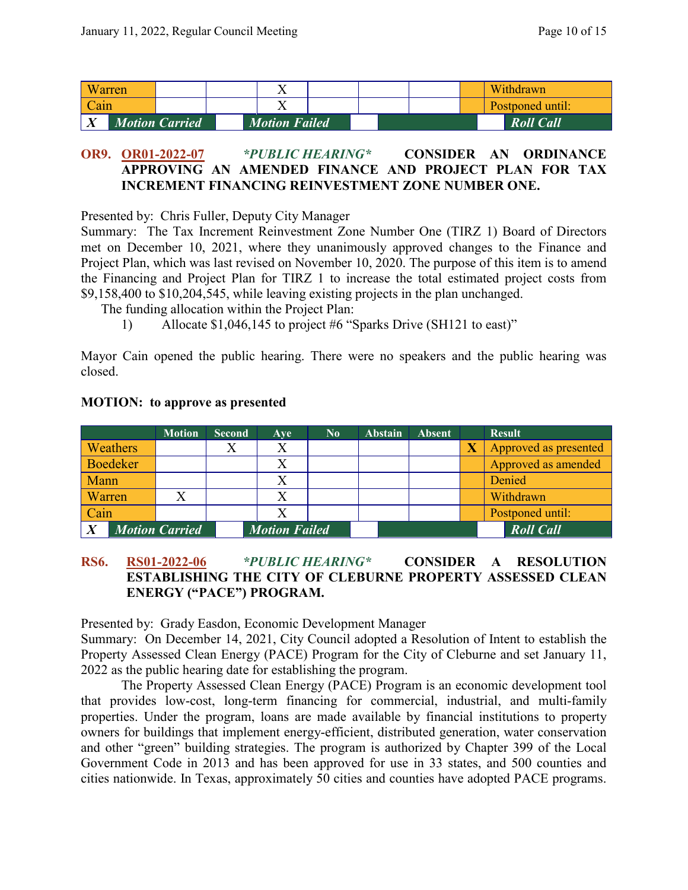|             | Warren |                       | ∡⊾                   |  |  |  | Withdrawn        |
|-------------|--------|-----------------------|----------------------|--|--|--|------------------|
| Cain        |        |                       |                      |  |  |  | Postponed until: |
| $\mathbf v$ |        | <b>Motion Carried</b> | <b>Motion Failed</b> |  |  |  | <b>Roll Call</b> |

# **OR9. OR01-2022-07** *\*PUBLIC HEARING\** **CONSIDER AN ORDINANCE APPROVING AN AMENDED FINANCE AND PROJECT PLAN FOR TAX INCREMENT FINANCING REINVESTMENT ZONE NUMBER ONE.**

Presented by: Chris Fuller, Deputy City Manager

Summary: The Tax Increment Reinvestment Zone Number One (TIRZ 1) Board of Directors met on December 10, 2021, where they unanimously approved changes to the Finance and Project Plan, which was last revised on November 10, 2020. The purpose of this item is to amend the Financing and Project Plan for TIRZ 1 to increase the total estimated project costs from \$9,158,400 to \$10,204,545, while leaving existing projects in the plan unchanged.

The funding allocation within the Project Plan:

1) Allocate \$1,046,145 to project #6 "Sparks Drive (SH121 to east)"

Mayor Cain opened the public hearing. There were no speakers and the public hearing was closed.

|        |                 | <b>Motion</b>         | <b>Second</b> | Ave                  | $\bf No$ | <b>Abstain</b> | <b>Absent</b> |                         | <b>Result</b>         |
|--------|-----------------|-----------------------|---------------|----------------------|----------|----------------|---------------|-------------------------|-----------------------|
|        | Weathers        |                       |               |                      |          |                |               | $\overline{\textbf{X}}$ | Approved as presented |
|        | <b>Boedeker</b> |                       |               |                      |          |                |               |                         | Approved as amended   |
| Mann   |                 |                       |               |                      |          |                |               |                         | Denied                |
| Warren |                 |                       |               |                      |          |                |               |                         | Withdrawn             |
| Cain   |                 |                       |               |                      |          |                |               |                         | Postponed until:      |
|        |                 | <b>Motion Carried</b> |               | <b>Motion Failed</b> |          |                |               |                         | <b>Roll Call</b>      |

#### **MOTION: to approve as presented**

#### **RS6. RS01-2022-06** *\*PUBLIC HEARING\** **CONSIDER A RESOLUTION ESTABLISHING THE CITY OF CLEBURNE PROPERTY ASSESSED CLEAN ENERGY ("PACE") PROGRAM.**

Presented by: Grady Easdon, Economic Development Manager

Summary: On December 14, 2021, City Council adopted a Resolution of Intent to establish the Property Assessed Clean Energy (PACE) Program for the City of Cleburne and set January 11, 2022 as the public hearing date for establishing the program.

The Property Assessed Clean Energy (PACE) Program is an economic development tool that provides low-cost, long-term financing for commercial, industrial, and multi-family properties. Under the program, loans are made available by financial institutions to property owners for buildings that implement energy-efficient, distributed generation, water conservation and other "green" building strategies. The program is authorized by Chapter 399 of the Local Government Code in 2013 and has been approved for use in 33 states, and 500 counties and cities nationwide. In Texas, approximately 50 cities and counties have adopted PACE programs.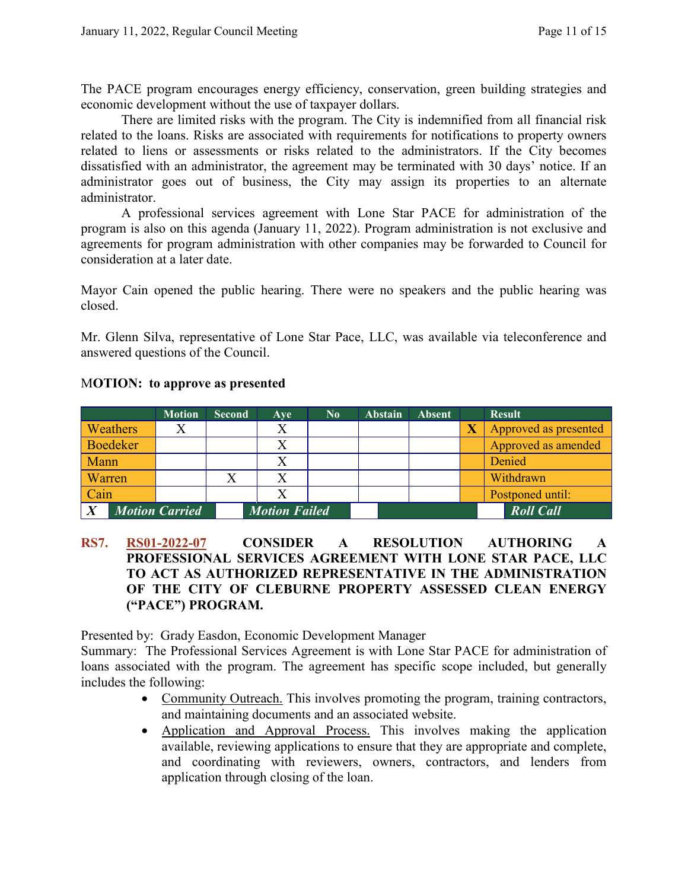The PACE program encourages energy efficiency, conservation, green building strategies and economic development without the use of taxpayer dollars.

There are limited risks with the program. The City is indemnified from all financial risk related to the loans. Risks are associated with requirements for notifications to property owners related to liens or assessments or risks related to the administrators. If the City becomes dissatisfied with an administrator, the agreement may be terminated with 30 days' notice. If an administrator goes out of business, the City may assign its properties to an alternate administrator.

A professional services agreement with Lone Star PACE for administration of the program is also on this agenda (January 11, 2022). Program administration is not exclusive and agreements for program administration with other companies may be forwarded to Council for consideration at a later date.

Mayor Cain opened the public hearing. There were no speakers and the public hearing was closed.

Mr. Glenn Silva, representative of Lone Star Pace, LLC, was available via teleconference and answered questions of the Council.

|                       |                 | <b>Motion</b> | <b>Second</b> | Ave                  | $\mathbf{N_0}$ | Abstain | <b>Absent</b> |                         | <b>Result</b>         |
|-----------------------|-----------------|---------------|---------------|----------------------|----------------|---------|---------------|-------------------------|-----------------------|
|                       | Weathers        | Χ             |               | Χ                    |                |         |               | $\overline{\textbf{X}}$ | Approved as presented |
|                       | <b>Boedeker</b> |               |               |                      |                |         |               |                         | Approved as amended   |
| Mann                  |                 |               |               |                      |                |         |               |                         | Denied                |
| Warren                |                 |               |               | X                    |                |         |               |                         | Withdrawn             |
| Cain                  |                 |               |               |                      |                |         |               |                         | Postponed until:      |
| <b>Motion Carried</b> |                 |               |               | <b>Motion Failed</b> |                |         |               |                         | <b>Roll Call</b>      |

#### M**OTION: to approve as presented**

**RS7. RS01-2022-07 CONSIDER A RESOLUTION AUTHORING A PROFESSIONAL SERVICES AGREEMENT WITH LONE STAR PACE, LLC TO ACT AS AUTHORIZED REPRESENTATIVE IN THE ADMINISTRATION OF THE CITY OF CLEBURNE PROPERTY ASSESSED CLEAN ENERGY ("PACE") PROGRAM.**

Presented by: Grady Easdon, Economic Development Manager

Summary: The Professional Services Agreement is with Lone Star PACE for administration of loans associated with the program. The agreement has specific scope included, but generally includes the following:

- Community Outreach. This involves promoting the program, training contractors, and maintaining documents and an associated website.
- Application and Approval Process. This involves making the application available, reviewing applications to ensure that they are appropriate and complete, and coordinating with reviewers, owners, contractors, and lenders from application through closing of the loan.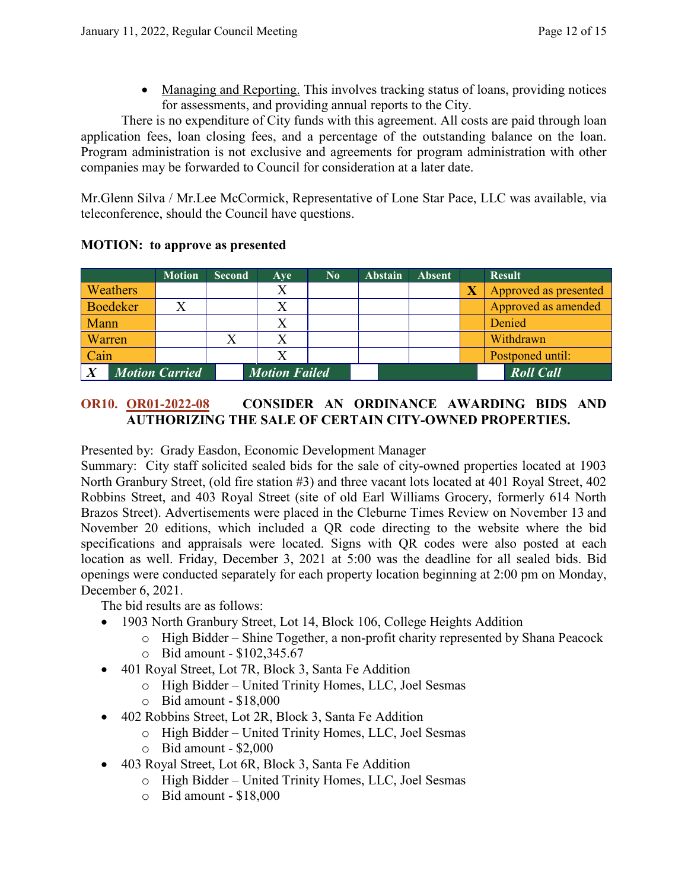• Managing and Reporting. This involves tracking status of loans, providing notices for assessments, and providing annual reports to the City.

There is no expenditure of City funds with this agreement. All costs are paid through loan application fees, loan closing fees, and a percentage of the outstanding balance on the loan. Program administration is not exclusive and agreements for program administration with other companies may be forwarded to Council for consideration at a later date.

Mr.Glenn Silva / Mr.Lee McCormick, Representative of Lone Star Pace, LLC was available, via teleconference, should the Council have questions.

|          | <b>Motion</b>         | <b>Second</b> | Ave                  | N <sub>0</sub> | <b>Abstain</b> | <b>Absent</b> | <b>Result</b>         |
|----------|-----------------------|---------------|----------------------|----------------|----------------|---------------|-----------------------|
| Weathers |                       |               | Χ                    |                |                |               | Approved as presented |
| Boedeker |                       |               |                      |                |                |               | Approved as amended   |
| Mann     |                       |               | Χ                    |                |                |               | Denied                |
| Warren   |                       |               | X                    |                |                |               | Withdrawn             |
| Cain     |                       |               |                      |                |                |               | Postponed until:      |
|          | <b>Motion Carried</b> |               | <b>Motion Failed</b> |                |                |               | <b>Roll Call</b>      |

# **MOTION: to approve as presented**

# **OR10. OR01-2022-08 CONSIDER AN ORDINANCE AWARDING BIDS AND AUTHORIZING THE SALE OF CERTAIN CITY-OWNED PROPERTIES.**

Presented by: Grady Easdon, Economic Development Manager

Summary: City staff solicited sealed bids for the sale of city-owned properties located at 1903 North Granbury Street, (old fire station #3) and three vacant lots located at 401 Royal Street, 402 Robbins Street, and 403 Royal Street (site of old Earl Williams Grocery, formerly 614 North Brazos Street). Advertisements were placed in the Cleburne Times Review on November 13 and November 20 editions, which included a QR code directing to the website where the bid specifications and appraisals were located. Signs with QR codes were also posted at each location as well. Friday, December 3, 2021 at 5:00 was the deadline for all sealed bids. Bid openings were conducted separately for each property location beginning at 2:00 pm on Monday, December 6, 2021.

The bid results are as follows:

- 1903 North Granbury Street, Lot 14, Block 106, College Heights Addition
	- o High Bidder Shine Together, a non-profit charity represented by Shana Peacock
	- o Bid amount \$102,345.67
- 401 Royal Street, Lot 7R, Block 3, Santa Fe Addition
	- o High Bidder United Trinity Homes, LLC, Joel Sesmas
	- o Bid amount \$18,000
- 402 Robbins Street, Lot 2R, Block 3, Santa Fe Addition
	- o High Bidder United Trinity Homes, LLC, Joel Sesmas
	- o Bid amount \$2,000
- 403 Royal Street, Lot 6R, Block 3, Santa Fe Addition
	- o High Bidder United Trinity Homes, LLC, Joel Sesmas
	- o Bid amount \$18,000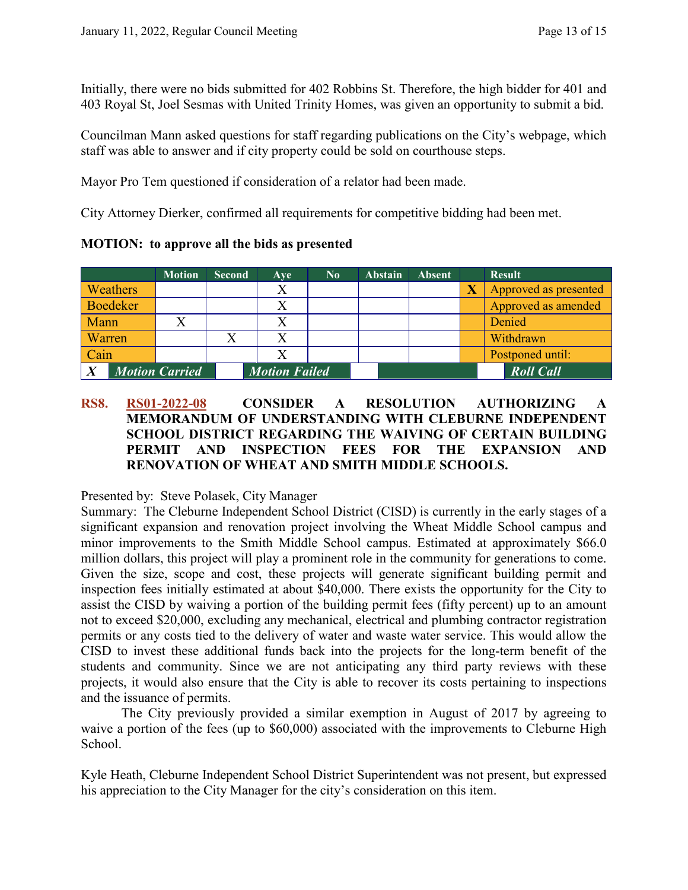Initially, there were no bids submitted for 402 Robbins St. Therefore, the high bidder for 401 and 403 Royal St, Joel Sesmas with United Trinity Homes, was given an opportunity to submit a bid.

Councilman Mann asked questions for staff regarding publications on the City's webpage, which staff was able to answer and if city property could be sold on courthouse steps.

Mayor Pro Tem questioned if consideration of a relator had been made.

City Attorney Dierker, confirmed all requirements for competitive bidding had been met.

|                 | <b>Motion</b>         | <b>Second</b> | Aye                  | $\bf No$ | <b>Abstain</b> | <b>Absent</b> |                         | <b>Result</b>         |
|-----------------|-----------------------|---------------|----------------------|----------|----------------|---------------|-------------------------|-----------------------|
| Weathers        |                       |               | Х                    |          |                |               | $\overline{\textbf{X}}$ | Approved as presented |
| <b>Boedeker</b> |                       |               |                      |          |                |               |                         | Approved as amended   |
| Mann            |                       |               |                      |          |                |               |                         | Denied                |
| Warren          |                       |               | Χ                    |          |                |               |                         | Withdrawn             |
| Cain            |                       |               |                      |          |                |               |                         | Postponed until:      |
|                 | <b>Motion Carried</b> |               | <b>Motion Failed</b> |          |                |               |                         | <b>Roll Call</b>      |

#### **RS8. RS01-2022-08 CONSIDER A RESOLUTION AUTHORIZING A MEMORANDUM OF UNDERSTANDING WITH CLEBURNE INDEPENDENT SCHOOL DISTRICT REGARDING THE WAIVING OF CERTAIN BUILDING PERMIT AND INSPECTION FEES FOR THE EXPANSION AND RENOVATION OF WHEAT AND SMITH MIDDLE SCHOOLS.**

Presented by: Steve Polasek, City Manager

Summary: The Cleburne Independent School District (CISD) is currently in the early stages of a significant expansion and renovation project involving the Wheat Middle School campus and minor improvements to the Smith Middle School campus. Estimated at approximately \$66.0 million dollars, this project will play a prominent role in the community for generations to come. Given the size, scope and cost, these projects will generate significant building permit and inspection fees initially estimated at about \$40,000. There exists the opportunity for the City to assist the CISD by waiving a portion of the building permit fees (fifty percent) up to an amount not to exceed \$20,000, excluding any mechanical, electrical and plumbing contractor registration permits or any costs tied to the delivery of water and waste water service. This would allow the CISD to invest these additional funds back into the projects for the long-term benefit of the students and community. Since we are not anticipating any third party reviews with these projects, it would also ensure that the City is able to recover its costs pertaining to inspections and the issuance of permits.

The City previously provided a similar exemption in August of 2017 by agreeing to waive a portion of the fees (up to \$60,000) associated with the improvements to Cleburne High School.

Kyle Heath, Cleburne Independent School District Superintendent was not present, but expressed his appreciation to the City Manager for the city's consideration on this item.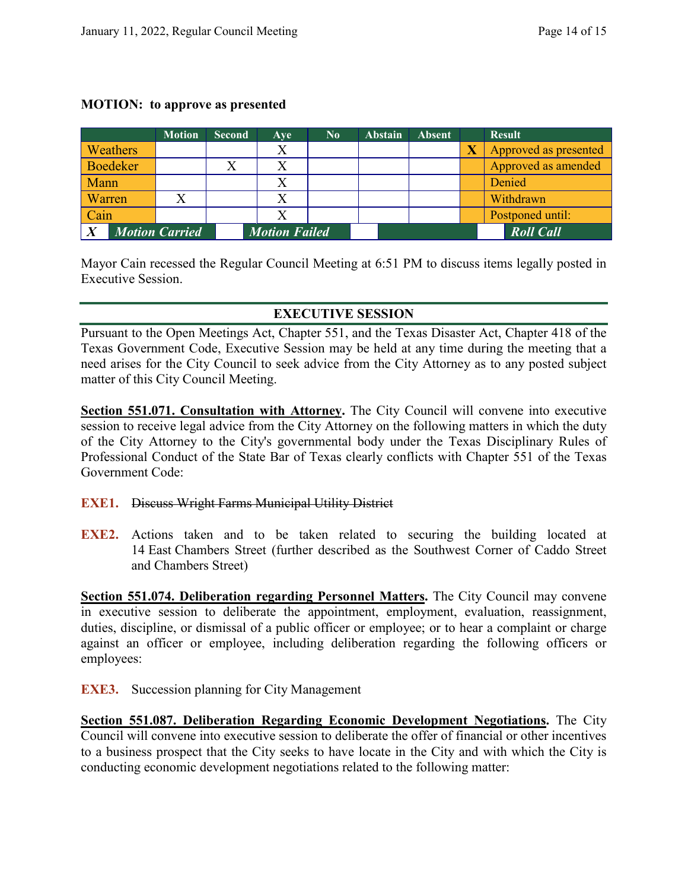#### **MOTION: to approve as presented**

|                       |          | <b>Motion</b> | <b>Second</b>        | Ave | $\bf No$ | <b>Abstain</b> | <b>Absent</b>    | <b>Result</b>         |
|-----------------------|----------|---------------|----------------------|-----|----------|----------------|------------------|-----------------------|
|                       | Weathers |               |                      | Χ   |          |                |                  | Approved as presented |
|                       | Boedeker |               |                      |     |          |                |                  | Approved as amended   |
| Mann                  |          |               |                      |     |          |                |                  | Denied                |
| Warren                |          |               |                      |     |          |                |                  | Withdrawn             |
| Cain                  |          |               |                      |     |          |                |                  | Postponed until:      |
| <b>Motion Carried</b> |          |               | <b>Motion Failed</b> |     |          |                | <b>Roll Call</b> |                       |

Mayor Cain recessed the Regular Council Meeting at 6:51 PM to discuss items legally posted in Executive Session.

# **EXECUTIVE SESSION**

Pursuant to the Open Meetings Act, Chapter 551, and the Texas Disaster Act, Chapter 418 of the Texas Government Code, Executive Session may be held at any time during the meeting that a need arises for the City Council to seek advice from the City Attorney as to any posted subject matter of this City Council Meeting.

**Section 551.071. Consultation with Attorney.** The City Council will convene into executive session to receive legal advice from the City Attorney on the following matters in which the duty of the City Attorney to the City's governmental body under the Texas Disciplinary Rules of Professional Conduct of the State Bar of Texas clearly conflicts with Chapter 551 of the Texas Government Code:

#### **EXE1.** Discuss Wright Farms Municipal Utility District

**EXE2.** Actions taken and to be taken related to securing the building located at 14 East Chambers Street (further described as the Southwest Corner of Caddo Street and Chambers Street)

**Section 551.074. Deliberation regarding Personnel Matters.** The City Council may convene in executive session to deliberate the appointment, employment, evaluation, reassignment, duties, discipline, or dismissal of a public officer or employee; or to hear a complaint or charge against an officer or employee, including deliberation regarding the following officers or employees:

**EXE3.** Succession planning for City Management

**Section 551.087. Deliberation Regarding Economic Development Negotiations.** The City Council will convene into executive session to deliberate the offer of financial or other incentives to a business prospect that the City seeks to have locate in the City and with which the City is conducting economic development negotiations related to the following matter: